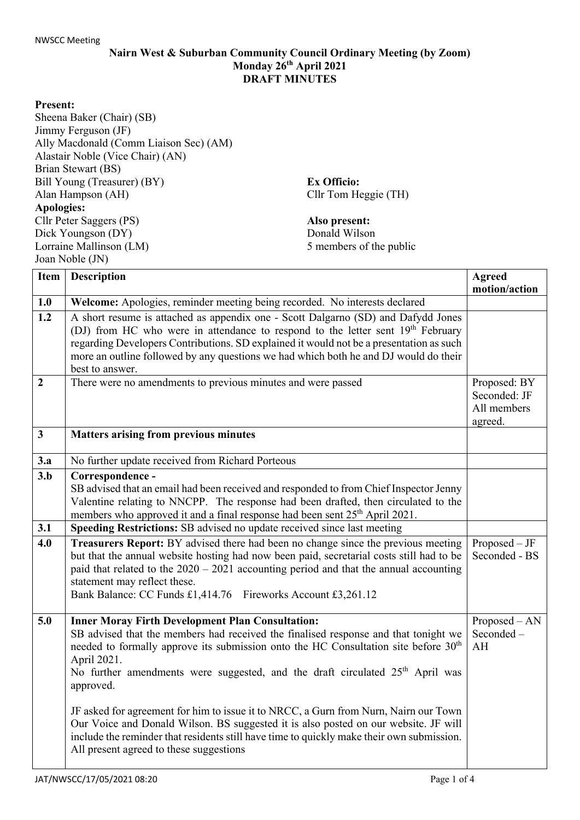## **Nairn West & Suburban Community Council Ordinary Meeting (by Zoom) Monday 26th April 2021 DRAFT MINUTES**

## **Present:**

Sheena Baker (Chair) (SB) Jimmy Ferguson (JF) Ally Macdonald (Comm Liaison Sec) (AM) Alastair Noble (Vice Chair) (AN) Brian Stewart (BS) Bill Young (Treasurer) (BY) Alan Hampson (AH) **Apologies:** Cllr Peter Saggers (PS) Dick Youngson (DY) Lorraine Mallinson (LM) Joan Noble (JN)

**Ex Officio:** Cllr Tom Heggie (TH)

**Also present:**  Donald Wilson 5 members of the public

| Item             | <b>Description</b>                                                                                                                                                                                                                                                                                                                                                                                                                                                                                                                                                                                                                                                                      | <b>Agreed</b><br>motion/action                         |
|------------------|-----------------------------------------------------------------------------------------------------------------------------------------------------------------------------------------------------------------------------------------------------------------------------------------------------------------------------------------------------------------------------------------------------------------------------------------------------------------------------------------------------------------------------------------------------------------------------------------------------------------------------------------------------------------------------------------|--------------------------------------------------------|
| 1.0              | Welcome: Apologies, reminder meeting being recorded. No interests declared                                                                                                                                                                                                                                                                                                                                                                                                                                                                                                                                                                                                              |                                                        |
| $\overline{1.2}$ | A short resume is attached as appendix one - Scott Dalgarno (SD) and Dafydd Jones<br>(DJ) from HC who were in attendance to respond to the letter sent 19 <sup>th</sup> February<br>regarding Developers Contributions. SD explained it would not be a presentation as such<br>more an outline followed by any questions we had which both he and DJ would do their<br>best to answer.                                                                                                                                                                                                                                                                                                  |                                                        |
| $\overline{2}$   | There were no amendments to previous minutes and were passed                                                                                                                                                                                                                                                                                                                                                                                                                                                                                                                                                                                                                            | Proposed: BY<br>Seconded: JF<br>All members<br>agreed. |
| $\mathbf{3}$     | <b>Matters arising from previous minutes</b>                                                                                                                                                                                                                                                                                                                                                                                                                                                                                                                                                                                                                                            |                                                        |
| 3.a              | No further update received from Richard Porteous                                                                                                                                                                                                                                                                                                                                                                                                                                                                                                                                                                                                                                        |                                                        |
| 3.b              | Correspondence -<br>SB advised that an email had been received and responded to from Chief Inspector Jenny<br>Valentine relating to NNCPP. The response had been drafted, then circulated to the<br>members who approved it and a final response had been sent 25 <sup>th</sup> April 2021.                                                                                                                                                                                                                                                                                                                                                                                             |                                                        |
| 3.1              | Speeding Restrictions: SB advised no update received since last meeting                                                                                                                                                                                                                                                                                                                                                                                                                                                                                                                                                                                                                 |                                                        |
| 4.0              | <b>Treasurers Report:</b> BY advised there had been no change since the previous meeting<br>but that the annual website hosting had now been paid, secretarial costs still had to be<br>paid that related to the $2020 - 2021$ accounting period and that the annual accounting<br>statement may reflect these.<br>Bank Balance: CC Funds £1,414.76<br>Fireworks Account £3,261.12                                                                                                                                                                                                                                                                                                      | $Proposed - JF$<br>Seconded - BS                       |
| 5.0              | <b>Inner Moray Firth Development Plan Consultation:</b><br>SB advised that the members had received the finalised response and that tonight we<br>needed to formally approve its submission onto the HC Consultation site before $30th$<br>April 2021.<br>No further amendments were suggested, and the draft circulated 25 <sup>th</sup> April was<br>approved.<br>JF asked for agreement for him to issue it to NRCC, a Gurn from Nurn, Nairn our Town<br>Our Voice and Donald Wilson. BS suggested it is also posted on our website. JF will<br>include the reminder that residents still have time to quickly make their own submission.<br>All present agreed to these suggestions | Proposed - AN<br>Seconded-<br>AH                       |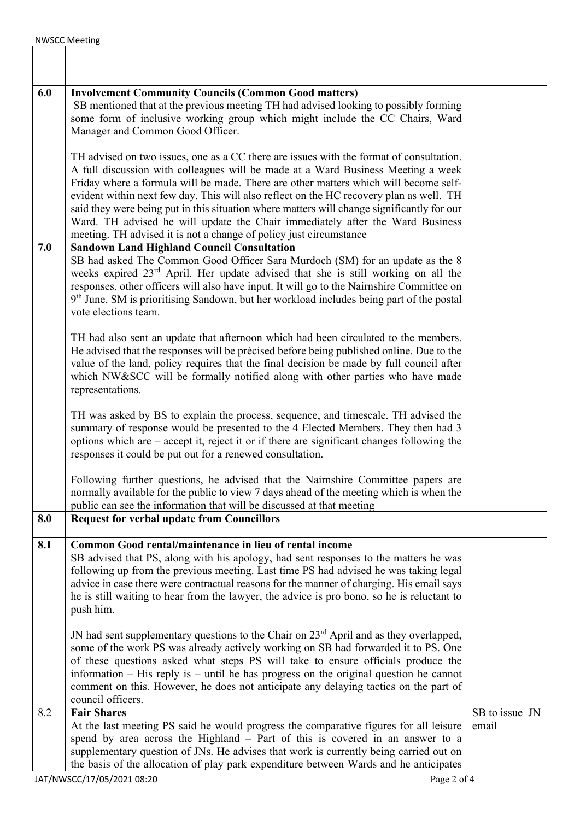| 6.0 | <b>Involvement Community Councils (Common Good matters)</b><br>SB mentioned that at the previous meeting TH had advised looking to possibly forming<br>some form of inclusive working group which might include the CC Chairs, Ward<br>Manager and Common Good Officer.                                                                                                                                                                                                                                                                                                                                             |                         |
|-----|---------------------------------------------------------------------------------------------------------------------------------------------------------------------------------------------------------------------------------------------------------------------------------------------------------------------------------------------------------------------------------------------------------------------------------------------------------------------------------------------------------------------------------------------------------------------------------------------------------------------|-------------------------|
|     | TH advised on two issues, one as a CC there are issues with the format of consultation.<br>A full discussion with colleagues will be made at a Ward Business Meeting a week<br>Friday where a formula will be made. There are other matters which will become self-<br>evident within next few day. This will also reflect on the HC recovery plan as well. TH<br>said they were being put in this situation where matters will change significantly for our<br>Ward. TH advised he will update the Chair immediately after the Ward Business<br>meeting. TH advised it is not a change of policy just circumstance |                         |
| 7.0 | <b>Sandown Land Highland Council Consultation</b><br>SB had asked The Common Good Officer Sara Murdoch (SM) for an update as the 8<br>weeks expired 23 <sup>rd</sup> April. Her update advised that she is still working on all the<br>responses, other officers will also have input. It will go to the Nairnshire Committee on<br>9 <sup>th</sup> June. SM is prioritising Sandown, but her workload includes being part of the postal<br>vote elections team.                                                                                                                                                    |                         |
|     | TH had also sent an update that afternoon which had been circulated to the members.<br>He advised that the responses will be précised before being published online. Due to the<br>value of the land, policy requires that the final decision be made by full council after<br>which NW&SCC will be formally notified along with other parties who have made<br>representations.                                                                                                                                                                                                                                    |                         |
|     | TH was asked by BS to explain the process, sequence, and timescale. TH advised the<br>summary of response would be presented to the 4 Elected Members. They then had 3<br>options which are – accept it, reject it or if there are significant changes following the<br>responses it could be put out for a renewed consultation.                                                                                                                                                                                                                                                                                   |                         |
|     | Following further questions, he advised that the Nairnshire Committee papers are<br>normally available for the public to view 7 days ahead of the meeting which is when the<br>public can see the information that will be discussed at that meeting                                                                                                                                                                                                                                                                                                                                                                |                         |
| 8.0 | <b>Request for verbal update from Councillors</b>                                                                                                                                                                                                                                                                                                                                                                                                                                                                                                                                                                   |                         |
| 8.1 | Common Good rental/maintenance in lieu of rental income<br>SB advised that PS, along with his apology, had sent responses to the matters he was<br>following up from the previous meeting. Last time PS had advised he was taking legal<br>advice in case there were contractual reasons for the manner of charging. His email says<br>he is still waiting to hear from the lawyer, the advice is pro bono, so he is reluctant to<br>push him.                                                                                                                                                                      |                         |
|     | JN had sent supplementary questions to the Chair on 23 <sup>rd</sup> April and as they overlapped,<br>some of the work PS was already actively working on SB had forwarded it to PS. One<br>of these questions asked what steps PS will take to ensure officials produce the<br>information $-$ His reply is $-$ until he has progress on the original question he cannot<br>comment on this. However, he does not anticipate any delaying tactics on the part of<br>council officers.                                                                                                                              |                         |
| 8.2 | <b>Fair Shares</b><br>At the last meeting PS said he would progress the comparative figures for all leisure<br>spend by area across the Highland - Part of this is covered in an answer to a<br>supplementary question of JNs. He advises that work is currently being carried out on<br>the basis of the allocation of play park expenditure between Wards and he anticipates                                                                                                                                                                                                                                      | SB to issue JN<br>email |
|     | JAT/NWSCC/17/05/2021 08:20<br>Page 2 of 4                                                                                                                                                                                                                                                                                                                                                                                                                                                                                                                                                                           |                         |

٦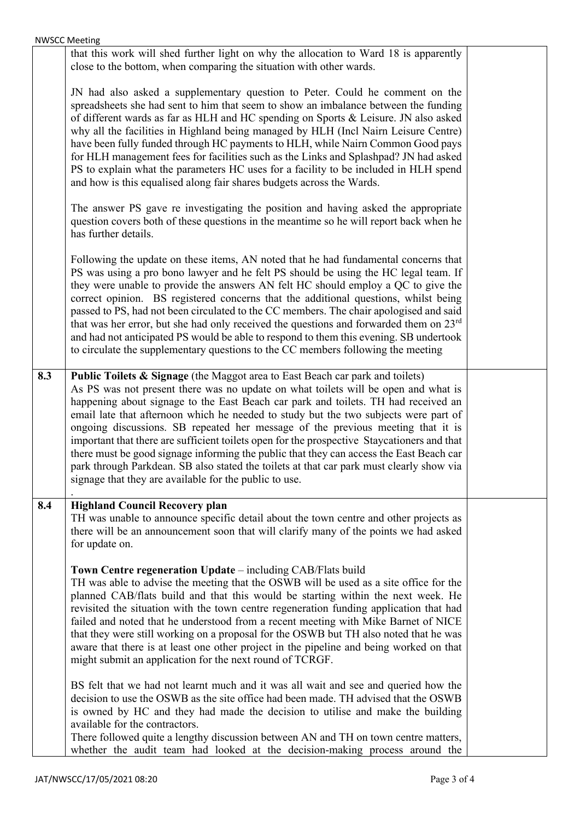|     | <b>NWSCC Meeting</b>                                                                                                                                                                                                                                                                                                                                                                                                                                                                                                                                                                                                                                                                                                                                                                 |  |
|-----|--------------------------------------------------------------------------------------------------------------------------------------------------------------------------------------------------------------------------------------------------------------------------------------------------------------------------------------------------------------------------------------------------------------------------------------------------------------------------------------------------------------------------------------------------------------------------------------------------------------------------------------------------------------------------------------------------------------------------------------------------------------------------------------|--|
|     | that this work will shed further light on why the allocation to Ward 18 is apparently<br>close to the bottom, when comparing the situation with other wards.                                                                                                                                                                                                                                                                                                                                                                                                                                                                                                                                                                                                                         |  |
|     | JN had also asked a supplementary question to Peter. Could he comment on the<br>spreadsheets she had sent to him that seem to show an imbalance between the funding<br>of different wards as far as HLH and HC spending on Sports & Leisure. JN also asked<br>why all the facilities in Highland being managed by HLH (Incl Nairn Leisure Centre)<br>have been fully funded through HC payments to HLH, while Nairn Common Good pays<br>for HLH management fees for facilities such as the Links and Splashpad? JN had asked<br>PS to explain what the parameters HC uses for a facility to be included in HLH spend<br>and how is this equalised along fair shares budgets across the Wards.                                                                                        |  |
|     | The answer PS gave re investigating the position and having asked the appropriate<br>question covers both of these questions in the meantime so he will report back when he<br>has further details.                                                                                                                                                                                                                                                                                                                                                                                                                                                                                                                                                                                  |  |
|     | Following the update on these items, AN noted that he had fundamental concerns that<br>PS was using a pro bono lawyer and he felt PS should be using the HC legal team. If<br>they were unable to provide the answers AN felt HC should employ a QC to give the<br>correct opinion. BS registered concerns that the additional questions, whilst being<br>passed to PS, had not been circulated to the CC members. The chair apologised and said<br>that was her error, but she had only received the questions and forwarded them on 23 <sup>rd</sup><br>and had not anticipated PS would be able to respond to them this evening. SB undertook<br>to circulate the supplementary questions to the CC members following the meeting                                                 |  |
| 8.3 | Public Toilets & Signage (the Maggot area to East Beach car park and toilets)<br>As PS was not present there was no update on what toilets will be open and what is<br>happening about signage to the East Beach car park and toilets. TH had received an<br>email late that afternoon which he needed to study but the two subjects were part of<br>ongoing discussions. SB repeated her message of the previous meeting that it is<br>important that there are sufficient toilets open for the prospective Staycationers and that<br>there must be good signage informing the public that they can access the East Beach car<br>park through Parkdean. SB also stated the toilets at that car park must clearly show via<br>signage that they are available for the public to use. |  |
| 8.4 | <b>Highland Council Recovery plan</b><br>TH was unable to announce specific detail about the town centre and other projects as<br>there will be an announcement soon that will clarify many of the points we had asked<br>for update on.                                                                                                                                                                                                                                                                                                                                                                                                                                                                                                                                             |  |
|     | Town Centre regeneration Update - including CAB/Flats build<br>TH was able to advise the meeting that the OSWB will be used as a site office for the<br>planned CAB/flats build and that this would be starting within the next week. He<br>revisited the situation with the town centre regeneration funding application that had<br>failed and noted that he understood from a recent meeting with Mike Barnet of NICE<br>that they were still working on a proposal for the OSWB but TH also noted that he was<br>aware that there is at least one other project in the pipeline and being worked on that<br>might submit an application for the next round of TCRGF.                                                                                                             |  |
|     | BS felt that we had not learnt much and it was all wait and see and queried how the<br>decision to use the OSWB as the site office had been made. TH advised that the OSWB<br>is owned by HC and they had made the decision to utilise and make the building<br>available for the contractors.<br>There followed quite a lengthy discussion between AN and TH on town centre matters,<br>whether the audit team had looked at the decision-making process around the                                                                                                                                                                                                                                                                                                                 |  |